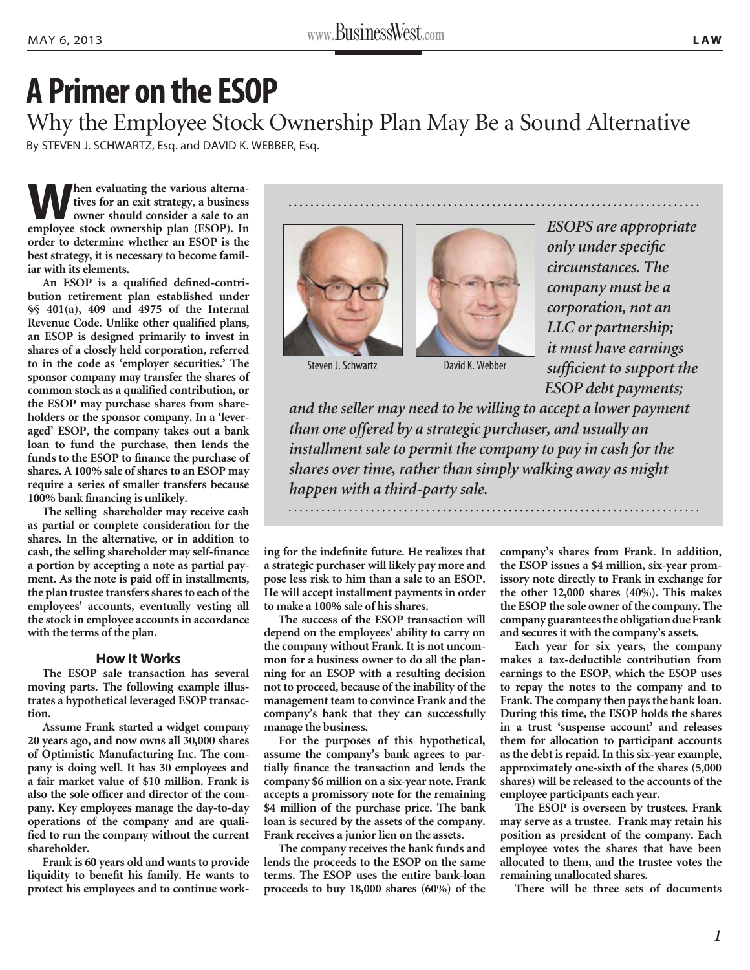## **A Primer on the ESOP**

Why the Employee Stock Ownership Plan May Be a Sound Alternative By STEVEN J. SCHWARTZ, Esq. and DAVID K. WEBBER, Esq.

**When evaluating the various alternatives for an exit strategy, a business owner should consider a sale to an employee stock ownership plan (ESOP). In order to determine whether an ESOP is the best strategy, it is necessary to become familiar with its elements.**

**An ESOP is a qualified defined-contribution retirement plan established under §§ 401(a), 409 and 4975 of the Internal Revenue Code. Unlike other qualified plans, an ESOP is designed primarily to invest in shares of a closely held corporation, referred to in the code as 'employer securities.' The sponsor company may transfer the shares of common stock as a qualified contribution, or the ESOP may purchase shares from shareholders or the sponsor company. In a 'leveraged' ESOP, the company takes out a bank loan to fund the purchase, then lends the funds to the ESOP to finance the purchase of shares. A 100% sale of shares to an ESOP may require a series of smaller transfers because 100% bank financing is unlikely.**

**The selling shareholder may receive cash as partial or complete consideration for the shares. In the alternative, or in addition to cash, the selling shareholder may self-finance a portion by accepting a note as partial payment. As the note is paid off in installments, the plan trustee transfers shares to each of the employees' accounts, eventually vesting all the stock in employee accounts in accordance with the terms of the plan.** 

## **How It Works**

**The ESOP sale transaction has several moving parts. The following example illustrates a hypothetical leveraged ESOP transaction.**

**Assume Frank started a widget company 20 years ago, and now owns all 30,000 shares of Optimistic Manufacturing Inc. The company is doing well. It has 30 employees and a fair market value of \$10 million. Frank is also the sole officer and director of the company. Key employees manage the day-to-day operations of the company and are qualified to run the company without the current shareholder.** 

**Frank is 60 years old and wants to provide liquidity to benefit his family. He wants to protect his employees and to continue work-**





Steven J. Schwartz **David K. Webber** 

*ESOPS are appropriate only under specific circumstances. The company must be a corporation, not an LLC or partnership; it must have earnings sufficient to support the ESOP debt payments;* 

*and the seller may need to be willing to accept a lower payment than one offered by a strategic purchaser, and usually an installment sale to permit the company to pay in cash for the shares over time, rather than simply walking away as might happen with a third-party sale.*

**ing for the indefinite future. He realizes that a strategic purchaser will likely pay more and pose less risk to him than a sale to an ESOP. He will accept installment payments in order to make a 100% sale of his shares.** 

**The success of the ESOP transaction will depend on the employees' ability to carry on the company without Frank. It is not uncommon for a business owner to do all the planning for an ESOP with a resulting decision not to proceed, because of the inability of the management team to convince Frank and the company's bank that they can successfully manage the business.**

**For the purposes of this hypothetical, assume the company's bank agrees to partially finance the transaction and lends the company \$6 million on a six-year note. Frank accepts a promissory note for the remaining \$4 million of the purchase price. The bank loan is secured by the assets of the company. Frank receives a junior lien on the assets.**

**The company receives the bank funds and lends the proceeds to the ESOP on the same terms. The ESOP uses the entire bank-loan proceeds to buy 18,000 shares (60%) of the** 

**company's shares from Frank. In addition, the ESOP issues a \$4 million, six-year promissory note directly to Frank in exchange for the other 12,000 shares (40%). This makes the ESOP the sole owner of the company. The company guarantees the obligation due Frank and secures it with the company's assets.**

**Each year for six years, the company makes a tax-deductible contribution from earnings to the ESOP, which the ESOP uses to repay the notes to the company and to Frank. The company then pays the bank loan. During this time, the ESOP holds the shares in a trust 'suspense account' and releases them for allocation to participant accounts as the debt is repaid. In this six-year example, approximately one-sixth of the shares (5,000 shares) will be released to the accounts of the employee participants each year.** 

**The ESOP is overseen by trustees. Frank may serve as a trustee. Frank may retain his position as president of the company. Each employee votes the shares that have been allocated to them, and the trustee votes the remaining unallocated shares.**

**There will be three sets of documents**